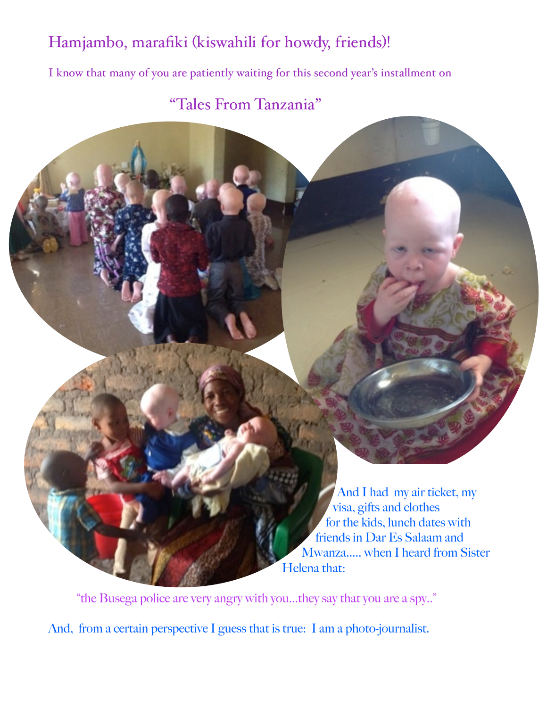## Hamjambo, marafiki (kiswahili for howdy, friends)!

I know that many of you are patiently waiting for this second year's installment on

## "Tales From Tanzania"

And I had my air ticket, my visa, gifts and clothes for the kids, lunch dates with friends in Dar Es Salaam and Mwanza..... when I heard from Sister Helena that:

 "the Busega police are very angry with you...they say that you are a spy.." And, from a certain perspective I guess that is true: I am a photo-journalist.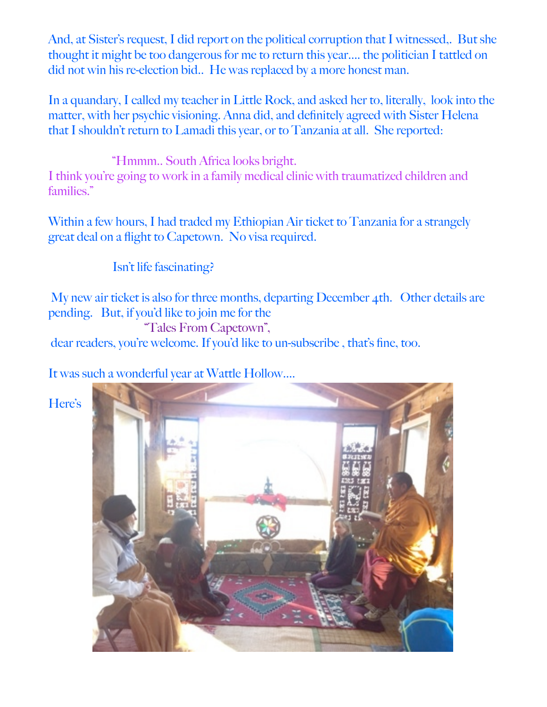And, at Sister's request, I did report on the political corruption that I witnessed,. But she thought it might be too dangerous for me to return this year.... the politician I tattled on did not win his re-election bid.. He was replaced by a more honest man.

In a quandary, I called my teacher in Little Rock, and asked her to, literally, look into the matter, with her psychic visioning. Anna did, and definitely agreed with Sister Helena that I shouldn't return to Lamadi this year, or to Tanzania at all. She reported:

 "Hmmm.. South Africa looks bright. I think you're going to work in a family medical clinic with traumatized children and families."

Within a few hours, I had traded my Ethiopian Air ticket to Tanzania for a strangely great deal on a flight to Capetown. No visa required.

Isn't life fascinating?

 My new air ticket is also for three months, departing December 4th. Other details are pending. But, if you'd like to join me for the

"Tales From Capetown",

dear readers, you're welcome. If you'd like to un-subscribe , that's fine, too.

It was such a wonderful year at Wattle Hollow....

Here's